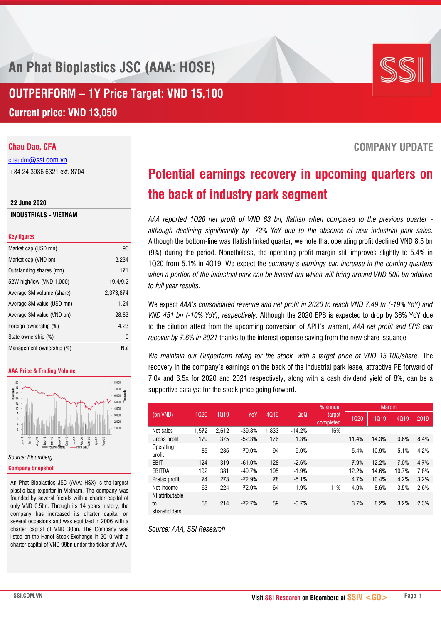**An Phat Bioplastics JSC (AAA: HOSE)**

**OUTPERFORM – 1Y Price Target: VND 15,100 Current price: VND 13,050**

# **Chau Dao, CFA**

chaudm[@ssi.com.vn](mailto:chaudm@ssi.com.vn) +84 24 3936 6321 ext. 8704

### **22 June 2020**

**INDUSTRIALS - VIETNAM**

### **Key figures**

| Market cap (USD mn)       | 96        |
|---------------------------|-----------|
| Market cap (VND bn)       | 2,234     |
| Outstanding shares (mn)   | 171       |
| 52W high/low (VND 1,000)  | 19.4/9.2  |
| Average 3M volume (share) | 2,373,874 |
| Average 3M value (USD mn) | 1.24      |
| Average 3M value (VND bn) | 28.83     |
| Foreign ownership (%)     | 4.23      |
| State ownership (%)       | 0         |
| Management ownership (%)  | N.a       |

### **AAA Price & Trading Volume**



# **Company Snapshot**

An Phat Bioplastics JSC (AAA: HSX) is the largest plastic bag exporter in Vietnam. The company was founded by several friends with a charter capital of only VND 0.5bn. Through its 14 years history, the company has increased its charter capital on several occasions and was equitized in 2006 with a charter capital of VND 30bn. The Company was listed on the Hanoi Stock Exchange in 2010 with a charter capital of VND 99bn under the ticker of AAA.

# **Potential earnings recovery in upcoming quarters on the back of industry park segment**

*AAA reported 1Q20 net profit of VND 63 bn, flattish when compared to the previous quarter although declining significantly by -72% YoY due to the absence of new industrial park sales.* Although the bottom-line was flattish linked quarter, we note that operating profit declined VND 8.5 bn (9%) during the period. Nonetheless, the operating profit margin still improves slightly to 5.4% in 1Q20 from 5.1% in 4Q19. We expect the *company's earnings can increase in the coming quarters when a portion of the industrial park can be leased out which will bring around VND 500 bn additive to full year results.*

We expect *AAA's consolidated revenue and net profit in 2020 to reach VND 7.49 tn (-19% YoY) and VND 451 bn (-10% YoY), respectively*. Although the 2020 EPS is expected to drop by 36% YoY due to the dilution affect from the upcoming conversion of APH's warrant, *AAA net profit and EPS can recover by 7.6% in 2021* thanks to the interest expense saving from the new share issuance.

*We maintain our Outperform rating for the stock, with a target price of VND 15,100/share*. The recovery in the company's earnings on the back of the industrial park lease, attractive PE forward of 7.0x and 6.5x for 2020 and 2021 respectively, along with a cash dividend yield of 8%, can be a supportive catalyst for the stock price going forward.

|                                       |       |       |          |       |                  | % annual            |       | <b>Margin</b> |       |      |
|---------------------------------------|-------|-------|----------|-------|------------------|---------------------|-------|---------------|-------|------|
| (bn VND)                              | 1020  | 1019  | YoY      | 4019  | Q <sub>0</sub> Q | target<br>completed | 1020  | 1019          | 4019  | 2019 |
| Net sales                             | 1,572 | 2,612 | $-39.8%$ | 1,833 | $-14.2%$         | 16%                 |       |               |       |      |
| Gross profit                          | 179   | 375   | $-52.3%$ | 176   | 1.3%             |                     | 11.4% | 14.3%         | 9.6%  | 8.4% |
| Operating<br>profit                   | 85    | 285   | $-70.0%$ | 94    | $-9.0%$          |                     | 5.4%  | 10.9%         | 5.1%  | 4.2% |
| EBIT                                  | 124   | 319   | $-61.0%$ | 128   | $-2.6%$          |                     | 7.9%  | 12.2%         | 7.0%  | 4.7% |
| EBITDA                                | 192   | 381   | $-49.7%$ | 195   | $-1.9%$          |                     | 12.2% | 14.6%         | 10.7% | 7.8% |
| Pretax profit                         | 74    | 273   | $-72.9%$ | 78    | $-5.1%$          |                     | 4.7%  | 10.4%         | 4.2%  | 3.2% |
| Net income                            | 63    | 224   | $-72.0%$ | 64    | $-1.9%$          | 11%                 | 4.0%  | 8.6%          | 3.5%  | 2.6% |
| NI attributable<br>to<br>shareholders | 58    | 214   | $-72.7%$ | 59    | $-0.7%$          |                     | 3.7%  | 8.2%          | 3.2%  | 2.3% |

*Source: AAA, SSI Research*

SSI

# **COMPANY UPDATE**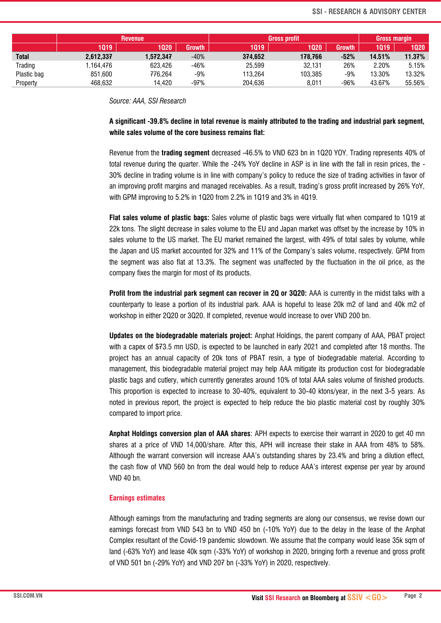|              | <b>Revenue</b> |           |               | <b>Gross profit</b> |         |               | Gross margin |           |  |
|--------------|----------------|-----------|---------------|---------------------|---------|---------------|--------------|-----------|--|
|              | 1019           | 1020      | <b>Growth</b> | 1019                | 1020    | <b>Growth</b> | 1019         | 1020      |  |
| <b>Total</b> | 2,612,337      | 1.572.347 | $-40%$        | 374.652             | 178.766 | $-52%$        | 14.51%       | $11.37\%$ |  |
| Trading      | .164.476       | 623.426   | -46%          | 25,599              | 32.131  | 26%           | 2.20%        | 5.15%     |  |
| Plastic bag  | 851.600        | 776.264   | -9%           | 113.264             | 103.385 | $-9%$         | 13.30%       | 13.32%    |  |
| Property     | 468.632        | 14.420    | -97%          | 204.636             | 8.011   | -96%          | 43.67%       | 55.56%    |  |

*Source: AAA, SSI Research*

# **A significant -39.8% decline in total revenue is mainly attributed to the trading and industrial park segment, while sales volume of the core business remains flat:**

Revenue from the **trading segment** decreased -46.5% to VND 623 bn in 1Q20 YOY. Trading represents 40% of total revenue during the quarter. While the -24% YoY decline in ASP is in line with the fall in resin prices, the - 30% decline in trading volume is in line with company's policy to reduce the size of trading activities in favor of an improving profit margins and managed receivables. As a result, trading's gross profit increased by 26% YoY, with GPM improving to 5.2% in 1Q20 from 2.2% in 1Q19 and 3% in 4Q19.

**Flat sales volume of plastic bags:** Sales volume of plastic bags were virtually flat when compared to 1Q19 at 22k tons. The slight decrease in sales volume to the EU and Japan market was offset by the increase by 10% in sales volume to the US market. The EU market remained the largest, with 49% of total sales by volume, while the Japan and US market accounted for 32% and 11% of the Company's sales volume, respectively. GPM from the segment was also flat at 13.3%. The segment was unaffected by the fluctuation in the oil price, as the company fixes the margin for most of its products.

**Profit from the industrial park segment can recover in 2Q or 3Q20:** AAA is currently in the midst talks with a counterparty to lease a portion of its industrial park. AAA is hopeful to lease 20k m2 of land and 40k m2 of workshop in either 2Q20 or 3Q20. If completed, revenue would increase to over VND 200 bn.

**Updates on the biodegradable materials project:** Anphat Holdings, the parent company of AAA, PBAT project with a capex of \$73.5 mn USD, is expected to be launched in early 2021 and completed after 18 months. The project has an annual capacity of 20k tons of PBAT resin, a type of biodegradable material. According to management, this biodegradable material project may help AAA mitigate its production cost for biodegradable plastic bags and cutlery, which currently generates around 10% of total AAA sales volume of finished products. This proportion is expected to increase to 30-40%, equivalent to 30-40 ktons/year, in the next 3-5 years. As noted in previous report, the project is expected to help reduce the bio plastic material cost by roughly 30% compared to import price.

**Anphat Holdings conversion plan of AAA shares**: APH expects to exercise their warrant in 2020 to get 40 mn shares at a price of VND 14,000/share. After this, APH will increase their stake in AAA from 48% to 58%. Although the warrant conversion will increase AAA's outstanding shares by 23.4% and bring a dilution effect, the cash flow of VND 560 bn from the deal would help to reduce AAA's interest expense per year by around VND 40 bn.

# **Earnings estimates**

Although earnings from the manufacturing and trading segments are along our consensus, we revise down our earnings forecast from VND 543 bn to VND 450 bn (-10% YoY) due to the delay in the lease of the Anphat Complex resultant of the Covid-19 pandemic slowdown. We assume that the company would lease 35k sqm of land (-63% YoY) and lease 40k sqm (-33% YoY) of workshop in 2020, bringing forth a revenue and gross profit of VND 501 bn (-29% YoY) and VND 207 bn (-33% YoY) in 2020, respectively.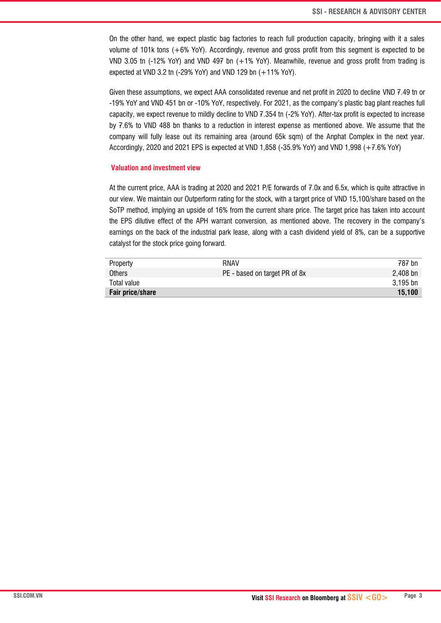On the other hand, we expect plastic bag factories to reach full production capacity, bringing with it a sales volume of 101k tons (+6% YoY). Accordingly, revenue and gross profit from this segment is expected to be VND 3.05 tn (-12% YoY) and VND 497 bn (+1% YoY). Meanwhile, revenue and gross profit from trading is expected at VND 3.2 tn (-29% YoY) and VND 129 bn (+11% YoY).

Given these assumptions, we expect AAA consolidated revenue and net profit in 2020 to decline VND 7.49 tn or -19% YoY and VND 451 bn or -10% YoY, respectively. For 2021, as the company's plastic bag plant reaches full capacity, we expect revenue to mildly decline to VND 7.354 tn (-2% YoY). After-tax profit is expected to increase by 7.6% to VND 488 bn thanks to a reduction in interest expense as mentioned above. We assume that the company will fully lease out its remaining area (around 65k sqm) of the Anphat Complex in the next year. Accordingly, 2020 and 2021 EPS is expected at VND 1,858 (-35.9% YoY) and VND 1,998 (+7.6% YoY)

## **Valuation and investment view**

At the current price, AAA is trading at 2020 and 2021 P/E forwards of 7.0x and 6.5x, which is quite attractive in our view. We maintain our Outperform rating for the stock, with a target price of VND 15,100/share based on the SoTP method, implying an upside of 16% from the current share price. The target price has taken into account the EPS dilutive effect of the APH warrant conversion, as mentioned above. The recovery in the company's earnings on the back of the industrial park lease, along with a cash dividend yield of 8%, can be a supportive catalyst for the stock price going forward.

| Property         | RNAV                          | 787 bn     |
|------------------|-------------------------------|------------|
| Others           | PE - based on target PR of 8x | $2,408$ bn |
| Total value      |                               | 3,195 bn   |
| Fair price/share |                               | 15,100     |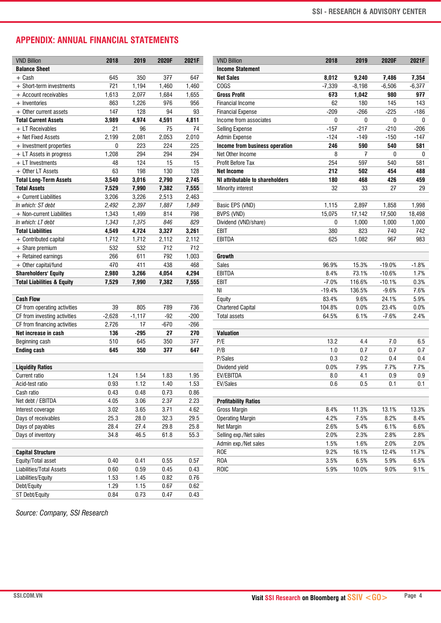# **APPENDIX: ANNUAL FINANCIAL STATEMENTS**

| <b>VND Billion</b>                    | 2018     | 2019     | 2020F | 2021F  | <b>VND Billion</b>              | 2018     | 2019     | 2020F    |
|---------------------------------------|----------|----------|-------|--------|---------------------------------|----------|----------|----------|
| <b>Balance Sheet</b>                  |          |          |       |        | <b>Income Statement</b>         |          |          |          |
| $+$ Cash                              | 645      | 350      | 377   | 647    | <b>Net Sales</b>                | 8,012    | 9,240    | 7,486    |
| + Short-term investments              | 721      | 1,194    | 1,460 | 1,460  | COGS                            | $-7,339$ | $-8,198$ | $-6,506$ |
| + Account receivables                 | 1,613    | 2,077    | 1,684 | 1,655  | <b>Gross Profit</b>             | 673      | 1,042    | 980      |
| $+$ Inventories                       | 863      | 1,226    | 976   | 956    | <b>Financial Income</b>         | 62       | 180      | 145      |
| + Other current assets                | 147      | 128      | 94    | 93     | <b>Financial Expense</b>        | $-209$   | $-266$   | $-225$   |
| <b>Total Current Assets</b>           | 3,989    | 4,974    | 4,591 | 4,811  | Income from associates          | 0        | 0        | 0        |
| + LT Receivables                      | 21       | 96       | 75    | 74     | <b>Selling Expense</b>          | $-157$   | $-217$   | $-210$   |
| + Net Fixed Assets                    | 2,199    | 2,081    | 2,053 | 2,010  | Admin Expense                   | $-124$   | $-149$   | $-150$   |
| + Investment properties               | 0        | 223      | 224   | 225    | Income from business operation  | 246      | 590      | 540      |
| + LT Assets in progress               | 1,208    | 294      | 294   | 294    | Net Other Income                | 8        | 7        | 0        |
| + LT Investments                      | 48       | 124      | 15    | 15     | Profit Before Tax               | 254      | 597      | 540      |
| + Other LT Assets                     | 63       | 198      | 130   | 128    | <b>Net Income</b>               | 212      | 502      | 454      |
| <b>Total Long-Term Assets</b>         | 3,540    | 3,016    | 2,790 | 2,745  | NI attributable to shareholders | 180      | 468      | 426      |
| <b>Total Assets</b>                   | 7,529    | 7,990    | 7,382 | 7,555  | Minority interest               | 32       | 33       | 27       |
| + Current Liabilities                 | 3,206    | 3,226    | 2,513 | 2,463  |                                 |          |          |          |
| In which: ST debt                     | 2,492    | 2,397    | 1,887 | 1,849  | Basic EPS (VND)                 | 1,115    | 2,897    | 1,858    |
| + Non-current Liabilities             | 1,343    | 1,499    | 814   | 798    | BVPS (VND)                      | 15,075   | 17,142   | 17,500   |
| In which: LT debt                     | 1,343    | 1,375    | 846   | 829    | Dividend (VND/share)            | 0        | 1,000    | 1,000    |
| <b>Total Liabilities</b>              | 4,549    | 4,724    | 3,327 | 3,261  | EBIT                            | 380      | 823      | 740      |
| + Contributed capital                 | 1,712    | 1,712    | 2,112 | 2,112  | <b>EBITDA</b>                   | 625      | 1,082    | 967      |
| $+$ Share premium                     | 532      | 532      | 712   | 712    |                                 |          |          |          |
| $+$ Retained earnings                 | 266      | 611      | 792   | 1,003  | <b>Growth</b>                   |          |          |          |
| + Other capital/fund                  | 470      | 411      | 438   | 468    | <b>Sales</b>                    | 96.9%    | 15.3%    | $-19.0%$ |
|                                       | 2,980    |          |       |        | <b>EBITDA</b>                   | 8.4%     | 73.1%    | $-10.6%$ |
| <b>Shareholders' Equity</b>           |          | 3,266    | 4,054 | 4,294  | EBIT                            | $-7.0%$  | 116.6%   |          |
| <b>Total Liabilities &amp; Equity</b> | 7,529    | 7,990    | 7,382 | 7,555  |                                 |          |          | $-10.1%$ |
|                                       |          |          |       |        | NI                              | $-19.4%$ | 136.5%   | $-9.6%$  |
| <b>Cash Flow</b>                      |          |          |       |        | Equity                          | 83.4%    | 9.6%     | 24.1%    |
| CF from operating activities          | 39       | 805      | 789   | 736    | <b>Chartered Capital</b>        | 104.8%   | 0.0%     | 23.4%    |
| CF from investing activities          | $-2,628$ | $-1,117$ | $-92$ | $-200$ | <b>Total assets</b>             | 64.5%    | 6.1%     | $-7.6%$  |
| CF from financing activities          | 2,726    | 17       | -670  | $-266$ |                                 |          |          |          |
| Net increase in cash                  | 136      | $-295$   | 27    | 270    | <b>Valuation</b>                |          |          |          |
| Beginning cash                        | 510      | 645      | 350   | 377    | P/E                             | 13.2     | 4.4      | 7.0      |
| <b>Ending cash</b>                    | 645      | 350      | 377   | 647    | P/B                             | 1.0      | 0.7      | 0.7      |
|                                       |          |          |       |        | P/Sales                         | 0.3      | 0.2      | 0.4      |
| <b>Liquidity Ratios</b>               |          |          |       |        | Dividend yield                  | 0.0%     | 7.9%     | 7.7%     |
| Current ratio                         | 1.24     | 1.54     | 1.83  | 1.95   | EV/EBITDA                       | 8.0      | 4.1      | 0.9      |
| Acid-test ratio                       | 0.93     | 1.12     | 1.40  | 1.53   | EV/Sales                        | 0.6      | 0.5      | 0.1      |
| Cash ratio                            | 0.43     | 0.48     | 0.73  | 0.86   |                                 |          |          |          |
| Net debt / EBITDA                     | 4.05     | 3.06     | 2.37  | 2.23   | <b>Profitability Ratios</b>     |          |          |          |
| Interest coverage                     | 3.02     | 3.65     | 3.71  | 4.62   | Gross Margin                    | 8.4%     | 11.3%    | 13.1%    |
| Days of receivables                   | 25.3     | 28.0     | 32.3  | 29.5   | <b>Operating Margin</b>         | 4.2%     | 7.5%     | 8.2%     |
| Days of payables                      | 28.4     | 27.4     | 29.8  | 25.8   | Net Margin                      | 2.6%     | 5.4%     | 6.1%     |
| Days of inventory                     | 34.8     | 46.5     | 61.8  | 55.3   | Selling exp./Net sales          | 2.0%     | 2.3%     | 2.8%     |
|                                       |          |          |       |        | Admin exp./Net sales            | 1.5%     | 1.6%     | 2.0%     |
| <b>Capital Structure</b>              |          |          |       |        | <b>ROE</b>                      | 9.2%     | 16.1%    | 12.4%    |
| Equity/Total asset                    | 0.40     | 0.41     | 0.55  | 0.57   | R <sub>O</sub> A                | 3.5%     | 6.5%     | 5.9%     |
| Liabilities/Total Assets              | 0.60     | 0.59     | 0.45  | 0.43   | ROIC                            | 5.9%     | 10.0%    | 9.0%     |
| Liabilities/Equity                    | 1.53     | 1.45     | 0.82  | 0.76   |                                 |          |          |          |
| Debt/Equity                           | 1.29     | 1.15     | 0.67  | 0.62   |                                 |          |          |          |
| ST Debt/Equity                        | 0.84     | 0.73     | 0.47  | 0.43   |                                 |          |          |          |
|                                       |          |          |       |        |                                 |          |          |          |

*Source: Company, SSI Research*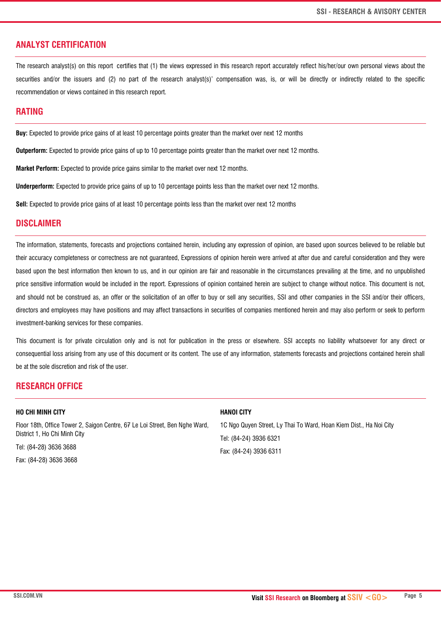# **ANALYST CERTIFICATION**

The research analyst(s) on this report certifies that (1) the views expressed in this research report accurately reflect his/her/our own personal views about the securities and/or the issuers and (2) no part of the research analyst(s)' compensation was, is, or will be directly or indirectly related to the specific recommendation or views contained in this research report.

# **RATING**

**Buy:** Expected to provide price gains of at least 10 percentage points greater than the market over next 12 months

**Outperform:** Expected to provide price gains of up to 10 percentage points greater than the market over next 12 months.

**Market Perform:** Expected to provide price gains similar to the market over next 12 months.

**Underperform:** Expected to provide price gains of up to 10 percentage points less than the market over next 12 months.

**Sell:** Expected to provide price gains of at least 10 percentage points less than the market over next 12 months

# **DISCLAIMER**

The information, statements, forecasts and projections contained herein, including any expression of opinion, are based upon sources believed to be reliable but their accuracy completeness or correctness are not guaranteed, Expressions of opinion herein were arrived at after due and careful consideration and they were based upon the best information then known to us, and in our opinion are fair and reasonable in the circumstances prevailing at the time, and no unpublished price sensitive information would be included in the report. Expressions of opinion contained herein are subject to change without notice. This document is not, and should not be construed as, an offer or the solicitation of an offer to buy or sell any securities, SSI and other companies in the SSI and/or their officers, directors and employees may have positions and may affect transactions in securities of companies mentioned herein and may also perform or seek to perform investment-banking services for these companies.

This document is for private circulation only and is not for publication in the press or elsewhere. SSI accepts no liability whatsoever for any direct or consequential loss arising from any use of this document or its content. The use of any information, statements forecasts and projections contained herein shall be at the sole discretion and risk of the user.

# **RESEARCH OFFICE**

## **HO CHI MINH CITY**

Floor 18th, Office Tower 2, Saigon Centre, 67 Le Loi Street, Ben Nghe Ward, District 1, Ho Chi Minh City

Tel: (84-28) 3636 3688

Fax: (84-28) 3636 3668

## **HANOI CITY**

1C Ngo Quyen Street, Ly Thai To Ward, Hoan Kiem Dist., Ha Noi City Tel: (84-24) 3936 6321 Fax: (84-24) 3936 6311